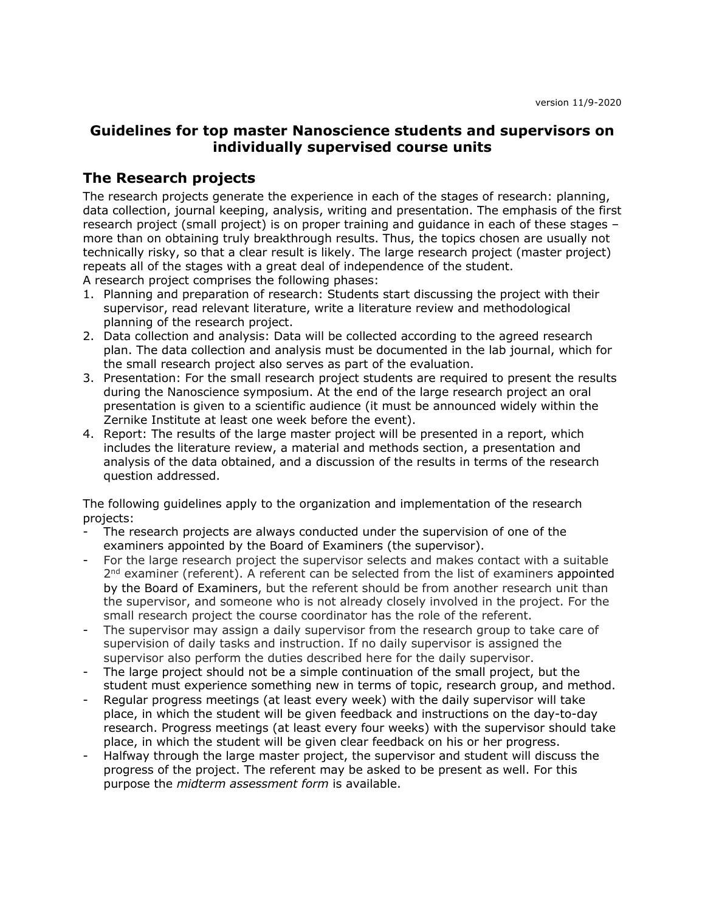# **Guidelines for top master Nanoscience students and supervisors on individually supervised course units**

# **The Research projects**

The research projects generate the experience in each of the stages of research: planning, data collection, journal keeping, analysis, writing and presentation. The emphasis of the first research project (small project) is on proper training and guidance in each of these stages – more than on obtaining truly breakthrough results. Thus, the topics chosen are usually not technically risky, so that a clear result is likely. The large research project (master project) repeats all of the stages with a great deal of independence of the student. A research project comprises the following phases:

- 1. Planning and preparation of research: Students start discussing the project with their supervisor, read relevant literature, write a literature review and methodological
- planning of the research project. 2. Data collection and analysis: Data will be collected according to the agreed research plan. The data collection and analysis must be documented in the lab journal, which for the small research project also serves as part of the evaluation.
- 3. Presentation: For the small research project students are required to present the results during the Nanoscience symposium. At the end of the large research project an oral presentation is given to a scientific audience (it must be announced widely within the Zernike Institute at least one week before the event).
- 4. Report: The results of the large master project will be presented in a report, which includes the literature review, a material and methods section, a presentation and analysis of the data obtained, and a discussion of the results in terms of the research question addressed.

The following guidelines apply to the organization and implementation of the research projects:

- The research projects are always conducted under the supervision of one of the examiners appointed by the Board of Examiners (the supervisor).
- For the large research project the supervisor selects and makes contact with a suitable  $2<sup>nd</sup>$  examiner (referent). A referent can be selected from the list of examiners appointed by the Board of Examiners, but the referent should be from another research unit than the supervisor, and someone who is not already closely involved in the project. For the small research project the course coordinator has the role of the referent.
- The supervisor may assign a daily supervisor from the research group to take care of supervision of daily tasks and instruction. If no daily supervisor is assigned the supervisor also perform the duties described here for the daily supervisor.
- The large project should not be a simple continuation of the small project, but the student must experience something new in terms of topic, research group, and method.
- Regular progress meetings (at least every week) with the daily supervisor will take place, in which the student will be given feedback and instructions on the day-to-day research. Progress meetings (at least every four weeks) with the supervisor should take place, in which the student will be given clear feedback on his or her progress.
- Halfway through the large master project, the supervisor and student will discuss the progress of the project. The referent may be asked to be present as well. For this purpose the *midterm assessment form* is available.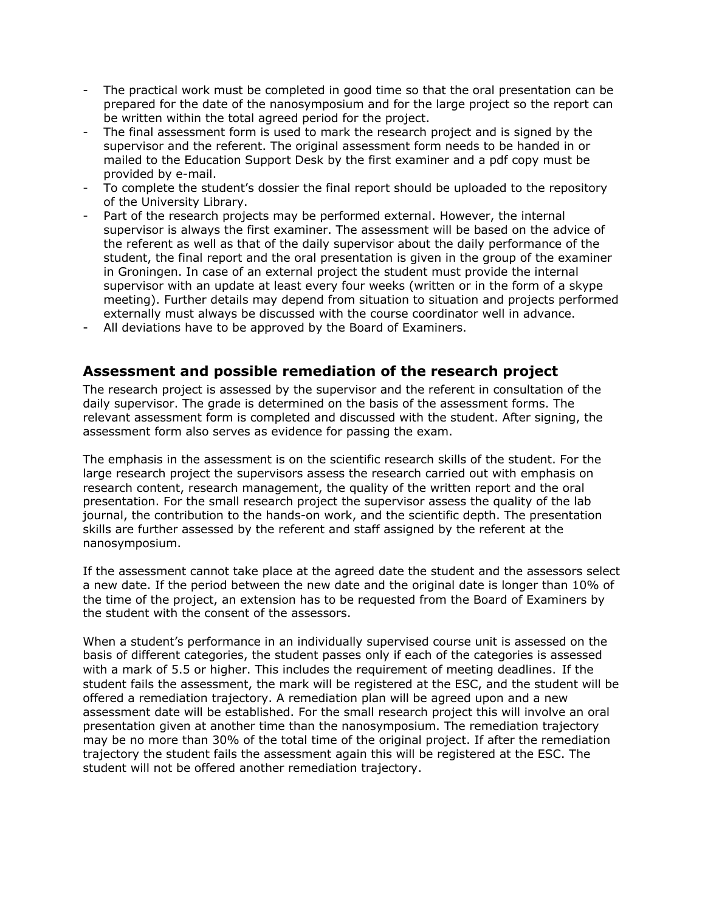- The practical work must be completed in good time so that the oral presentation can be prepared for the date of the nanosymposium and for the large project so the report can be written within the total agreed period for the project.
- The final assessment form is used to mark the research project and is signed by the supervisor and the referent. The original assessment form needs to be handed in or mailed to the Education Support Desk by the first examiner and a pdf copy must be provided by e-mail.
- To complete the student's dossier the final report should be uploaded to the repository of the University Library.
- Part of the research projects may be performed external. However, the internal supervisor is always the first examiner. The assessment will be based on the advice of the referent as well as that of the daily supervisor about the daily performance of the student, the final report and the oral presentation is given in the group of the examiner in Groningen. In case of an external project the student must provide the internal supervisor with an update at least every four weeks (written or in the form of a skype meeting). Further details may depend from situation to situation and projects performed externally must always be discussed with the course coordinator well in advance.
- All deviations have to be approved by the Board of Examiners.

## **Assessment and possible remediation of the research project**

The research project is assessed by the supervisor and the referent in consultation of the daily supervisor. The grade is determined on the basis of the assessment forms. The relevant assessment form is completed and discussed with the student. After signing, the assessment form also serves as evidence for passing the exam.

The emphasis in the assessment is on the scientific research skills of the student. For the large research project the supervisors assess the research carried out with emphasis on research content, research management, the quality of the written report and the oral presentation. For the small research project the supervisor assess the quality of the lab journal, the contribution to the hands-on work, and the scientific depth. The presentation skills are further assessed by the referent and staff assigned by the referent at the nanosymposium.

If the assessment cannot take place at the agreed date the student and the assessors select a new date. If the period between the new date and the original date is longer than 10% of the time of the project, an extension has to be requested from the Board of Examiners by the student with the consent of the assessors.

When a student's performance in an individually supervised course unit is assessed on the basis of different categories, the student passes only if each of the categories is assessed with a mark of 5.5 or higher. This includes the requirement of meeting deadlines. If the student fails the assessment, the mark will be registered at the ESC, and the student will be offered a remediation trajectory. A remediation plan will be agreed upon and a new assessment date will be established. For the small research project this will involve an oral presentation given at another time than the nanosymposium. The remediation trajectory may be no more than 30% of the total time of the original project. If after the remediation trajectory the student fails the assessment again this will be registered at the ESC. The student will not be offered another remediation trajectory.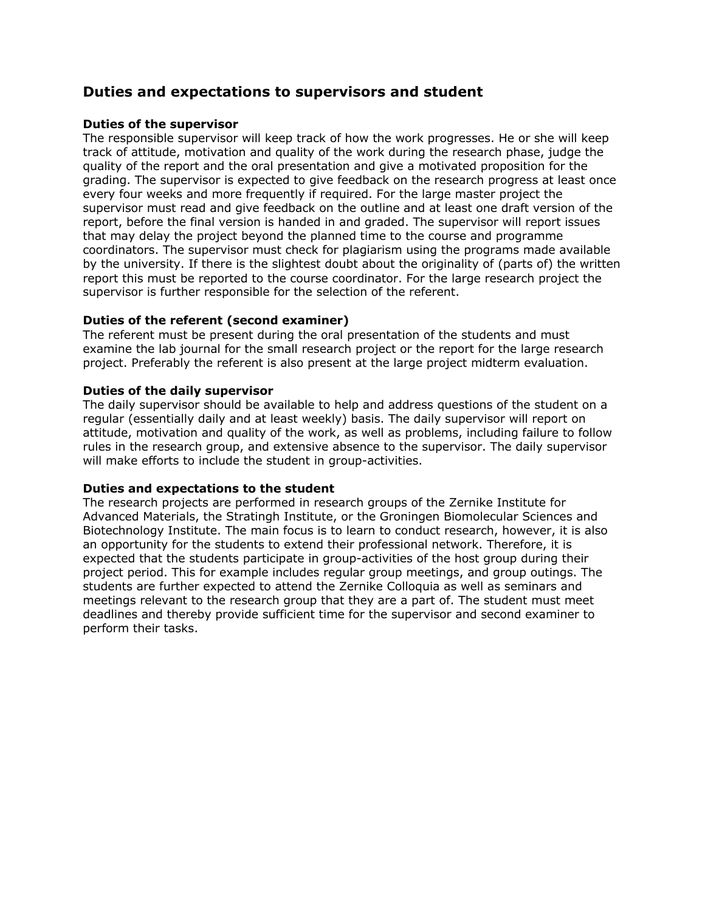# **Duties and expectations to supervisors and student**

### **Duties of the supervisor**

The responsible supervisor will keep track of how the work progresses. He or she will keep track of attitude, motivation and quality of the work during the research phase, judge the quality of the report and the oral presentation and give a motivated proposition for the grading. The supervisor is expected to give feedback on the research progress at least once every four weeks and more frequently if required. For the large master project the supervisor must read and give feedback on the outline and at least one draft version of the report, before the final version is handed in and graded. The supervisor will report issues that may delay the project beyond the planned time to the course and programme coordinators. The supervisor must check for plagiarism using the programs made available by the university. If there is the slightest doubt about the originality of (parts of) the written report this must be reported to the course coordinator. For the large research project the supervisor is further responsible for the selection of the referent.

### **Duties of the referent (second examiner)**

The referent must be present during the oral presentation of the students and must examine the lab journal for the small research project or the report for the large research project. Preferably the referent is also present at the large project midterm evaluation.

#### **Duties of the daily supervisor**

The daily supervisor should be available to help and address questions of the student on a regular (essentially daily and at least weekly) basis. The daily supervisor will report on attitude, motivation and quality of the work, as well as problems, including failure to follow rules in the research group, and extensive absence to the supervisor. The daily supervisor will make efforts to include the student in group-activities.

#### **Duties and expectations to the student**

The research projects are performed in research groups of the Zernike Institute for Advanced Materials, the Stratingh Institute, or the Groningen Biomolecular Sciences and Biotechnology Institute. The main focus is to learn to conduct research, however, it is also an opportunity for the students to extend their professional network. Therefore, it is expected that the students participate in group-activities of the host group during their project period. This for example includes regular group meetings, and group outings. The students are further expected to attend the Zernike Colloquia as well as seminars and meetings relevant to the research group that they are a part of. The student must meet deadlines and thereby provide sufficient time for the supervisor and second examiner to perform their tasks.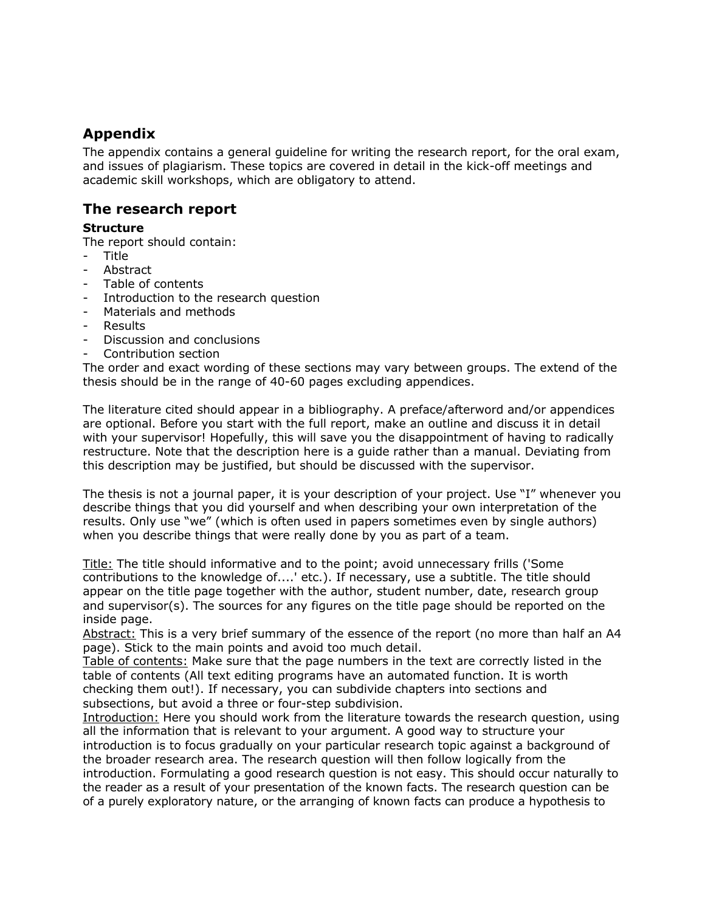# **Appendix**

The appendix contains a general guideline for writing the research report, for the oral exam, and issues of plagiarism. These topics are covered in detail in the kick-off meetings and academic skill workshops, which are obligatory to attend.

# **The research report**

## **Structure**

The report should contain:

- Title
- **Abstract**
- Table of contents
- Introduction to the research question
- Materials and methods
- **Results**
- Discussion and conclusions
- Contribution section

The order and exact wording of these sections may vary between groups. The extend of the thesis should be in the range of 40-60 pages excluding appendices.

The literature cited should appear in a bibliography. A preface/afterword and/or appendices are optional. Before you start with the full report, make an outline and discuss it in detail with your supervisor! Hopefully, this will save you the disappointment of having to radically restructure. Note that the description here is a guide rather than a manual. Deviating from this description may be justified, but should be discussed with the supervisor.

The thesis is not a journal paper, it is your description of your project. Use "I" whenever you describe things that you did yourself and when describing your own interpretation of the results. Only use "we" (which is often used in papers sometimes even by single authors) when you describe things that were really done by you as part of a team.

Title: The title should informative and to the point; avoid unnecessary frills ('Some contributions to the knowledge of....' etc.). If necessary, use a subtitle. The title should appear on the title page together with the author, student number, date, research group and supervisor(s). The sources for any figures on the title page should be reported on the inside page.

Abstract: This is a very brief summary of the essence of the report (no more than half an A4 page). Stick to the main points and avoid too much detail.

Table of contents: Make sure that the page numbers in the text are correctly listed in the table of contents (All text editing programs have an automated function. It is worth checking them out!). If necessary, you can subdivide chapters into sections and subsections, but avoid a three or four-step subdivision.

Introduction: Here you should work from the literature towards the research question, using all the information that is relevant to your argument. A good way to structure your introduction is to focus gradually on your particular research topic against a background of the broader research area. The research question will then follow logically from the introduction. Formulating a good research question is not easy. This should occur naturally to the reader as a result of your presentation of the known facts. The research question can be of a purely exploratory nature, or the arranging of known facts can produce a hypothesis to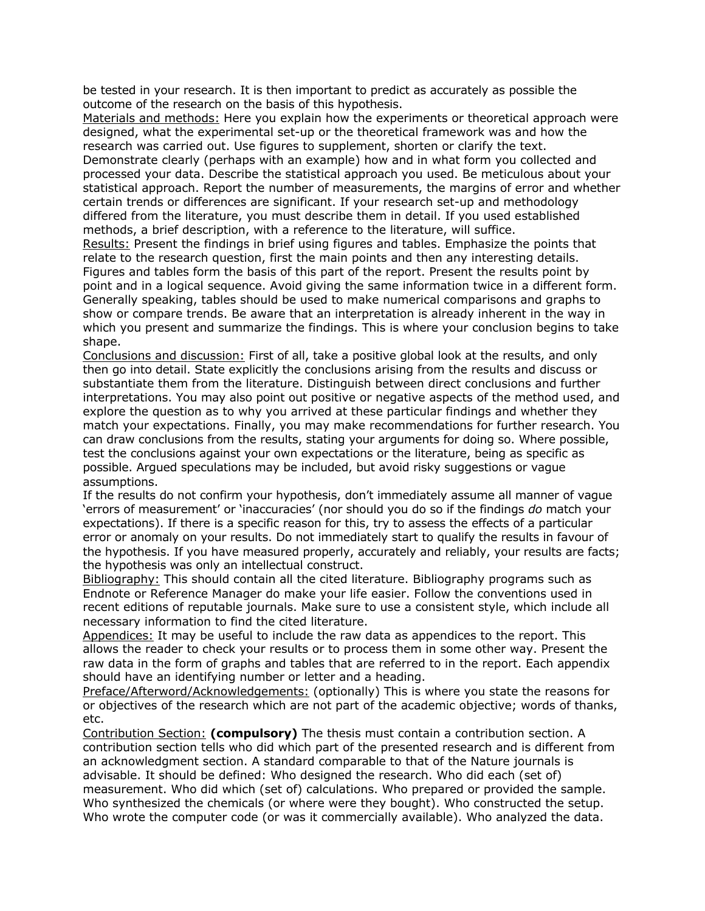be tested in your research. It is then important to predict as accurately as possible the outcome of the research on the basis of this hypothesis.

Materials and methods: Here you explain how the experiments or theoretical approach were designed, what the experimental set-up or the theoretical framework was and how the research was carried out. Use figures to supplement, shorten or clarify the text. Demonstrate clearly (perhaps with an example) how and in what form you collected and processed your data. Describe the statistical approach you used. Be meticulous about your statistical approach. Report the number of measurements, the margins of error and whether certain trends or differences are significant. If your research set-up and methodology differed from the literature, you must describe them in detail. If you used established methods, a brief description, with a reference to the literature, will suffice.

Results: Present the findings in brief using figures and tables. Emphasize the points that relate to the research question, first the main points and then any interesting details. Figures and tables form the basis of this part of the report. Present the results point by point and in a logical sequence. Avoid giving the same information twice in a different form. Generally speaking, tables should be used to make numerical comparisons and graphs to show or compare trends. Be aware that an interpretation is already inherent in the way in which you present and summarize the findings. This is where your conclusion begins to take shape.

Conclusions and discussion: First of all, take a positive global look at the results, and only then go into detail. State explicitly the conclusions arising from the results and discuss or substantiate them from the literature. Distinguish between direct conclusions and further interpretations. You may also point out positive or negative aspects of the method used, and explore the question as to why you arrived at these particular findings and whether they match your expectations. Finally, you may make recommendations for further research. You can draw conclusions from the results, stating your arguments for doing so. Where possible, test the conclusions against your own expectations or the literature, being as specific as possible. Argued speculations may be included, but avoid risky suggestions or vague assumptions.

If the results do not confirm your hypothesis, don't immediately assume all manner of vague 'errors of measurement' or 'inaccuracies' (nor should you do so if the findings *do* match your expectations). If there is a specific reason for this, try to assess the effects of a particular error or anomaly on your results. Do not immediately start to qualify the results in favour of the hypothesis. If you have measured properly, accurately and reliably, your results are facts; the hypothesis was only an intellectual construct.

Bibliography: This should contain all the cited literature. Bibliography programs such as Endnote or Reference Manager do make your life easier. Follow the conventions used in recent editions of reputable journals. Make sure to use a consistent style, which include all necessary information to find the cited literature.

Appendices: It may be useful to include the raw data as appendices to the report. This allows the reader to check your results or to process them in some other way. Present the raw data in the form of graphs and tables that are referred to in the report. Each appendix should have an identifying number or letter and a heading.

Preface/Afterword/Acknowledgements: (optionally) This is where you state the reasons for or objectives of the research which are not part of the academic objective; words of thanks, etc.

Contribution Section: **(compulsory)** The thesis must contain a contribution section. A contribution section tells who did which part of the presented research and is different from an acknowledgment section. A standard comparable to that of the Nature journals is advisable. It should be defined: Who designed the research. Who did each (set of) measurement. Who did which (set of) calculations. Who prepared or provided the sample. Who synthesized the chemicals (or where were they bought). Who constructed the setup. Who wrote the computer code (or was it commercially available). Who analyzed the data.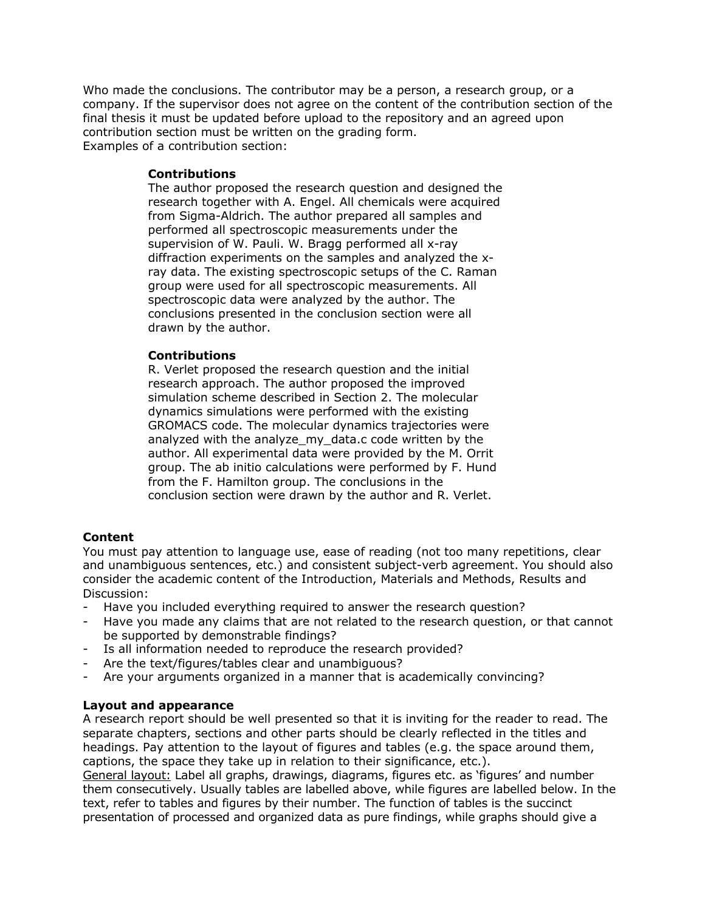Who made the conclusions. The contributor may be a person, a research group, or a company. If the supervisor does not agree on the content of the contribution section of the final thesis it must be updated before upload to the repository and an agreed upon contribution section must be written on the grading form. Examples of a contribution section:

#### **Contributions**

The author proposed the research question and designed the research together with A. Engel. All chemicals were acquired from Sigma-Aldrich. The author prepared all samples and performed all spectroscopic measurements under the supervision of W. Pauli. W. Bragg performed all x-ray diffraction experiments on the samples and analyzed the xray data. The existing spectroscopic setups of the C. Raman group were used for all spectroscopic measurements. All spectroscopic data were analyzed by the author. The conclusions presented in the conclusion section were all drawn by the author.

### **Contributions**

R. Verlet proposed the research question and the initial research approach. The author proposed the improved simulation scheme described in Section 2. The molecular dynamics simulations were performed with the existing GROMACS code. The molecular dynamics trajectories were analyzed with the analyze\_my\_data.c code written by the author. All experimental data were provided by the M. Orrit group. The ab initio calculations were performed by F. Hund from the F. Hamilton group. The conclusions in the conclusion section were drawn by the author and R. Verlet.

### **Content**

You must pay attention to language use, ease of reading (not too many repetitions, clear and unambiguous sentences, etc.) and consistent subject-verb agreement. You should also consider the academic content of the Introduction, Materials and Methods, Results and Discussion:

- Have you included everything required to answer the research question?
- Have you made any claims that are not related to the research question, or that cannot be supported by demonstrable findings?
- Is all information needed to reproduce the research provided?
- Are the text/figures/tables clear and unambiguous?
- Are your arguments organized in a manner that is academically convincing?

#### **Layout and appearance**

A research report should be well presented so that it is inviting for the reader to read. The separate chapters, sections and other parts should be clearly reflected in the titles and headings. Pay attention to the layout of figures and tables (e.g. the space around them, captions, the space they take up in relation to their significance, etc.).

General layout: Label all graphs, drawings, diagrams, figures etc. as 'figures' and number them consecutively. Usually tables are labelled above, while figures are labelled below. In the text, refer to tables and figures by their number. The function of tables is the succinct presentation of processed and organized data as pure findings, while graphs should give a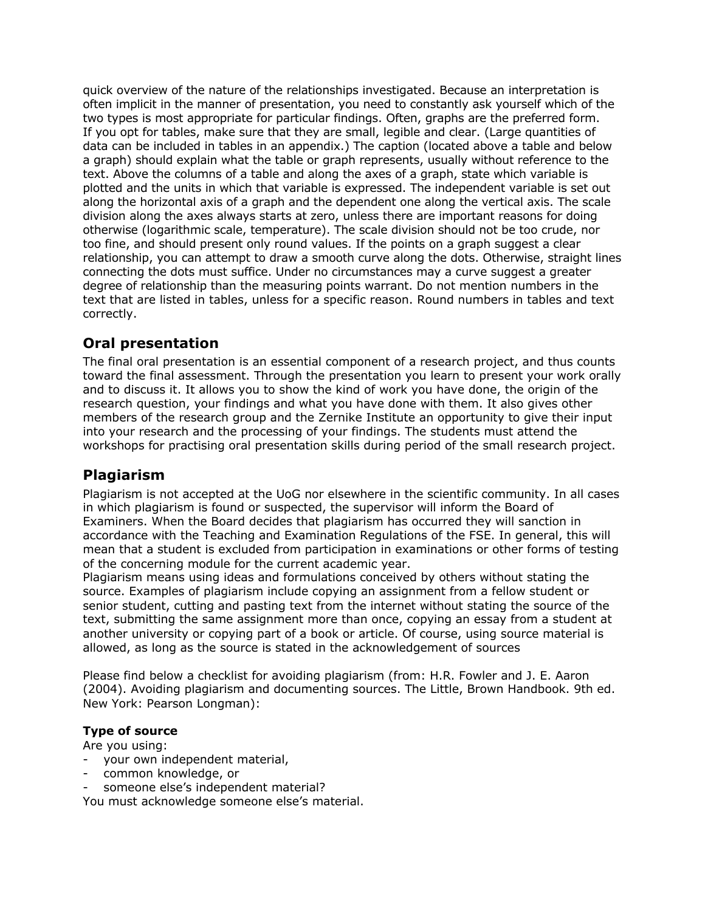quick overview of the nature of the relationships investigated. Because an interpretation is often implicit in the manner of presentation, you need to constantly ask yourself which of the two types is most appropriate for particular findings. Often, graphs are the preferred form. If you opt for tables, make sure that they are small, legible and clear. (Large quantities of data can be included in tables in an appendix.) The caption (located above a table and below a graph) should explain what the table or graph represents, usually without reference to the text. Above the columns of a table and along the axes of a graph, state which variable is plotted and the units in which that variable is expressed. The independent variable is set out along the horizontal axis of a graph and the dependent one along the vertical axis. The scale division along the axes always starts at zero, unless there are important reasons for doing otherwise (logarithmic scale, temperature). The scale division should not be too crude, nor too fine, and should present only round values. If the points on a graph suggest a clear relationship, you can attempt to draw a smooth curve along the dots. Otherwise, straight lines connecting the dots must suffice. Under no circumstances may a curve suggest a greater degree of relationship than the measuring points warrant. Do not mention numbers in the text that are listed in tables, unless for a specific reason. Round numbers in tables and text correctly.

# **Oral presentation**

The final oral presentation is an essential component of a research project, and thus counts toward the final assessment. Through the presentation you learn to present your work orally and to discuss it. It allows you to show the kind of work you have done, the origin of the research question, your findings and what you have done with them. It also gives other members of the research group and the Zernike Institute an opportunity to give their input into your research and the processing of your findings. The students must attend the workshops for practising oral presentation skills during period of the small research project.

# **Plagiarism**

Plagiarism is not accepted at the UoG nor elsewhere in the scientific community. In all cases in which plagiarism is found or suspected, the supervisor will inform the Board of Examiners. When the Board decides that plagiarism has occurred they will sanction in accordance with the Teaching and Examination Regulations of the FSE. In general, this will mean that a student is excluded from participation in examinations or other forms of testing of the concerning module for the current academic year.

Plagiarism means using ideas and formulations conceived by others without stating the source. Examples of plagiarism include copying an assignment from a fellow student or senior student, cutting and pasting text from the internet without stating the source of the text, submitting the same assignment more than once, copying an essay from a student at another university or copying part of a book or article. Of course, using source material is allowed, as long as the source is stated in the acknowledgement of sources

Please find below a checklist for avoiding plagiarism (from: H.R. Fowler and J. E. Aaron (2004). Avoiding plagiarism and documenting sources. The Little, Brown Handbook. 9th ed. New York: Pearson Longman):

## **Type of source**

Are you using:

- your own independent material,
- common knowledge, or
- someone else's independent material?

You must acknowledge someone else's material.